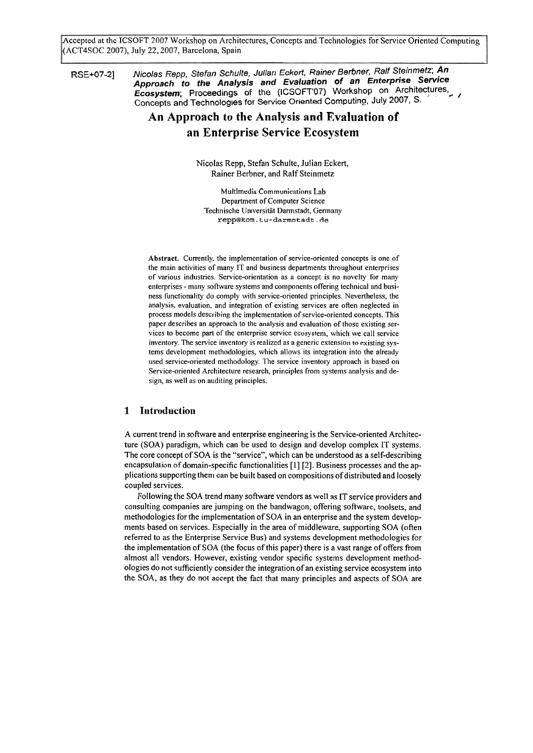Accepted at the ICSOFT 2007 Workshop on Architectures, Concepts and Technologies for Service Oriented Computing (ACT4SOC 2007), July 22,2007, Barcelona, Spain

RSE+07-2] Nicolas Repp, Stefan Schulte, Julian Eckert, Rainer Berbner, Ralf Steinmetz; An **Approach to the Analysis and Evaluation of an Enterprise Service Ecosystem;** Proceedings of the (ICSOFT'07) Workshop on Architectures, Concepts and Technologies for Service Oriented Computino, July 2007, S.

# **An Approach to the Analysis and Evaluation of an Enterprise Service Ecosystem**

Nicolas Repp, Stefan Schulte, Julian Eckert, Rainer Berbner, and Ralf Steinmetz

Multimedia Communications Lab Department of Computer Science Technische Universität Darmstadt, Germany **repp@kom.tu-darmstadt.de** 

Abstract. Currently, the implementation of service-oriented concepts is one of the main activities of many IT and business departments throughout enterprises of various industries. Service-orientation as a concept is no novelty for many enterprises - many software systems and components offering technical and business functionality do comply with service-oriented principles. Nevertheless, the analysis, evaluation, and integration of existing services are often neglected in process models describing the implementation of service-oriented concepts. This paper describes an approach to the analysis and evaluation of those existing services to become part of the enterprise service ecosystem, which we call service inventory. The service inventory is realized as a generic extension to existing systems development methodologies, which allows its integration into the already used service-oriented methodology. The Service inventory approach is based on Service-oriented Architecture research, principles from systems analysis and design, **as** well as on auditing principles.

# **1 Introduction**

A current trend in software and enterprise engineering is the Service-oriented Architecture (SOA) paradigm, which can be used to design and develop complex IT systems. The core concept of SOA is the "service", which can be understood **as** a self-describing encapsulation of domain-specific functionalities [I] [2]. Business processes and the applications supporting them can be built based on compositions of distributed and loosely coupled services.

Following the SOA trend many software vendors as well **as** IT service providers and consulting companies are jumping on the bandwagon, offering sofiware, toolsets, and methodologies for the implementation of SOA in an enterprise and the system developments based on services. Especially in the area of middleware, supporting SOA (often referred to as the Enterprise Service Bus) and systems development methodologies for the implementation of SOA (the focus of this paper) there is a vast range of offers from almost all vendors. However, existing vendor specific systems development methodologies do not sufficiently consider the integration of an existing service ecosystem into the SOA, as they do not accept the fact that many principles and aspects of SOA are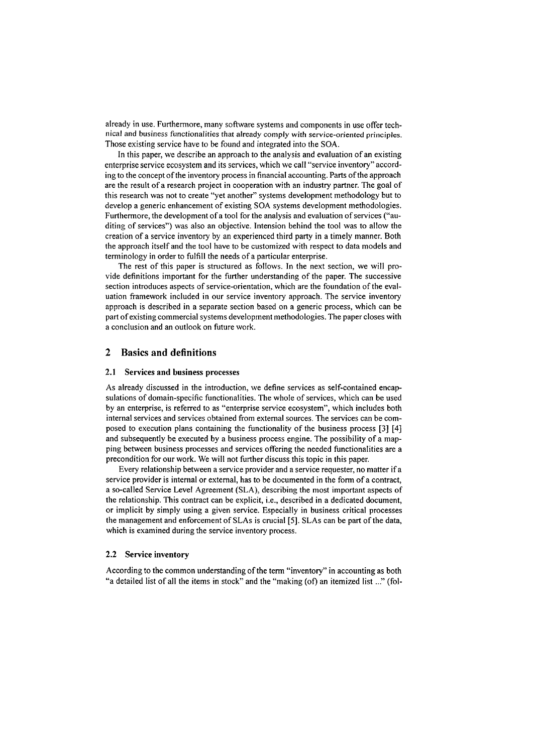already in use. Furthermore, many software systems and components in use offer technical and business functionalities that already comply with service-oriented principles. Those existing service have to be found and integrated into the SOA.

In this paper, we describe an approach to the analysis and evaluation of an existing enterprise service ecosystem and its services, which we call "service inventory" according to the concept of the inventory process in financial accounting. Parts of the approach are the result of a research project in cooperation with an industry partner. The goal of this research was not to create "yet another" systems development methodology but to develop a generic enhancement of existing SOA systems development methodologies. Furthermore, the development of a tool for the analysis and evaluation of services ("auditing of services") was also an objective. Intension behind the tool was to allow the creation of a service inventory by an experienced third party in a timely manner. Both the approach itself and the tool have to be customized with respect to data models and terminology in order to fulfill the needs of a particular enterprise.

The rest of this paper is structured as follows. In the next section, we will provide definitions important for the further understanding of the paper. The successive section introduces aspects of service-orientation, which are the foundation of the evaluation framework included in our service inventory approach. The service inventory approach is described in a separate section based on a generic process, which can be part of existing commercial systems development methodologies. The paper closes with a conclusion and an outlook on future work.

# **2 Basics and definitions**

#### 2.1 Services and business processes

As already discussed in the introduction, we define services as self-contained encapsulations of domain-specific functionalities. The whole of services, which can be used by an enterprise, is referred to as "enterprise service ecosystem", which includes both internal services and services obtained from external sources. The services can be composed to execution plans containing the functionality of the business process **[3]** [4] and subsequently be executed by a business process engine. The possibility of a mapping between business processes and services offering the needed functionalities are a precondition for our work. We will not further discuss this topic in this paper.

Every relationship between a service provider and a service requester, no matter if a service provider is internal or external, has to be documented in the form of a contract, a so-called Service Level Agreement (SLA), describing the most important aspects of the relationship. This contract can be explicit, i.e., described in a dedicated document, or implicit by simply using a given service. Especially in business critical processes the management and enforcement of SLAs is crucial **[5].** SLAs can be Part of the data, which is examined during the service inventory process.

#### **2.2** Service inventory

According to the common understanding of the term "inventory" in accounting as both "a detailed list of all the items in stock" and the "making (of) an itemized list ..." (fol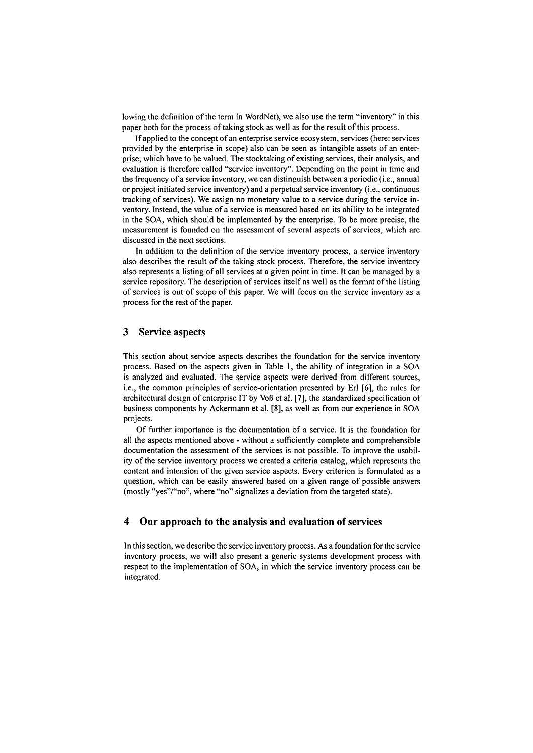lowing the definition of the term in WordNet), we also use the term "inventory" in this paper both for the process of taking stock as well as for the result of this process.

If applied to the concept of an enterprise service ecosystem, services (here: services provided by the enterprise in scope) also can be seen as intangible assets of an enterprise, which have to be valued. The stocktaking of existing services, their analysis, and evaluation is therefore called "service inventory". Depending on the point in time and the frequency of a service inventory, we can distinguish between a periodic (i.e., annual or project initiated service inventory) and a perpetual service inventory (i.e., continuous tracking of services). We assign no monetary value to a service during the service inventory. Instead, the value of a service is measured based on its ability to be integrated in the SOA, which should be implemented by the enterprise. To be more precise, the measurement is founded on the assessment of several aspects of services, which are discussed in the next sections.

In addition to the definition of the service inventory process, a service inventory also describes the result of the taking stock process. Therefore, the service inventory also represents a listing of all services at a given point in time. It can be managed by a service repository. The description of services itself as well as the format of the listing of services is out of scope of this paper. We will focus on the service inventory as a process for the rest of the paper.

## **3 Service aspects**

This section about service aspects describes the foundation for the service inventory process. Based on the aspects given in Table **1,** the ability of integration in a SOA is analyzed and evaluated. The service aspects were derived from different sources, i.e., the common principles of service-orientation presented by Er1 *[6],* the rules for architectural design of enterprise IT by Voß et al. [7], the standardized specification of business components by Ackermann et al. [SI, as well **as** from our experience in SOA projects.

Of further importance is the documentation of a service. It is the foundation for all the aspects mentioned above - without a sufficiently complete and comprehensible documentation the assessment of the services is not possible. To improve the usability of the service inventory process we created a criteria catalog, which represents the content and intension of the given service aspects. Every criterion is formulated as a question, which can be easily answered based on a given range of possible answers (mostly "yes"/"no", where "no" signalizes a deviation from the targeted state).

# **4 Our approach to the analysis and evaluation of services**

In this section, we describe the service inventory process. As a foundation for the service inventory process, we will also present a generic Systems development process with respect to the implementation of SOA, in which the service inventory process can be integrated.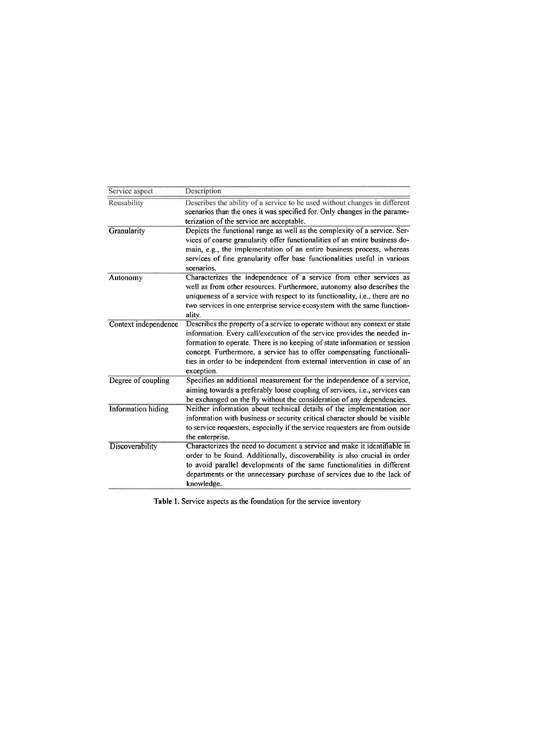| Service aspect            | Description                                                                                                                                                                                                                                                                                                                                                                                              |
|---------------------------|----------------------------------------------------------------------------------------------------------------------------------------------------------------------------------------------------------------------------------------------------------------------------------------------------------------------------------------------------------------------------------------------------------|
| Reusability               | Describes the ability of a service to be used without changes in different<br>scenarios than the ones it was specified for. Only changes in the parame-<br>terization of the service are acceptable.                                                                                                                                                                                                     |
| Granularity               | Depicts the functional range as well as the complexity of a service. Ser-<br>vices of coarse granularity offer functionalities of an entire business do-<br>main, e.g., the implementation of an entire business process, whereas<br>services of fine granularity offer base functionalities useful in various<br>scenarios.                                                                             |
| Autonomy                  | Characterizes the independence of a service from other services as<br>well as from other resources. Furthermore, autonomy also describes the<br>uniqueness of a service with respect to its functionality, i.e., there are no<br>two services in one enterprise service ecosystem with the same function-<br>ality.                                                                                      |
| Context independence      | Describes the property of a service to operate without any context or state<br>information. Every call/execution of the service provides the needed in-<br>formation to operate. There is no keeping of state information or session<br>concept. Furthermore, a service has to offer compensating functionali-<br>ties in order to be independent from external intervention in case of an<br>exception. |
| Degree of coupling        | Specifies an additional measurement for the independence of a service,<br>aiming towards a preferably loose coupling of services, <i>i.e.</i> , services can<br>be exchanged on the fly without the consideration of any dependencies.                                                                                                                                                                   |
| <b>Information</b> hiding | Neither information about technical details of the implementation nor<br>information with business or security critical character should be visible<br>to service requesters, especially if the service requesters are from outside<br>the enterprise.                                                                                                                                                   |
| Discoverability           | Characterizes the need to document a service and make it identifiable in<br>order to be found. Additionally, discoverability is also crucial in order<br>to avoid parallel developments of the same functionalities in different<br>departments or the unnecessary purchase of services due to the lack of<br>knowledge.                                                                                 |

**Table** 1. Service aspects as the foundation for the service inventory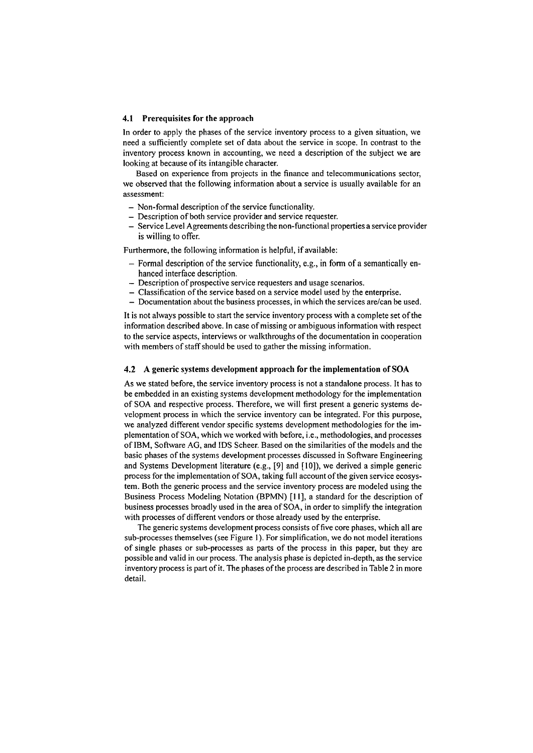#### 4.1 Prerequisites for the approach

In order to apply the phases of the service inventory process to a given situation, we need a sufficiently complete set of data about the service in scope. In contrast to the inventory process known in accounting, we need a description of the subject we are looking at because of its intangible character.

Based on experience fiom projects in the finance and telecommunications sector, we observed that the following information about a service is usually available for an assessment:

- Non-formal description of the service functionality.
- Description of both service provider and service requester.
- Service Level Agreements describing the non-functional properties a service provider is willing to offer.

Furthermore, the following information is helpful, if available:

- $-$  Formal description of the service functionality, e.g., in form of a semantically enhanced interface description.
- Description of prospective service requesters and usage scenarios.
- Classification of the service based on a service model used by the enterprise.
- Documentation about the business processes, in which the services are/can be used.

It is not always possible to start the service inventory process with a complete set of the information described above. In case of missing or ambiguous information with respect to the service aspects, interviews or walkthroughs of the documentation in cooperation with members of staff should be used to gather the missing information.

### **4.2 A** generic systems development approach for the implementation of **SOA**

As we stated before, the service inventory process is not a standalone process. It has to be embedded in an existing systems development methodology for the implementation of SOA and respective process. Therefore, we will first present a generic systems development process in which the service inventory can be integrated. For this purpose, we analyzed different vendor specific systems development methodologies for the implementation of SOA, which we worked with before, i.e., methodologies, and processes of IBM, Software AG, and IDS Scheer. Based on the similarities of the models and the basic phases of the systems development processes discussed in Software Engineering and Systems Development literature (e.g., [9] and **[IO]),** we derived a simple generic process for the implementation of SOA, taking full account of the given service ecosystem. Both the generic process and the service inventory process are modeled using the Business Process Modeling Notation (BPMN) [I I], a standard for the description of business processes broadly used in the area of SOA, in order to simplify the integration with processes of different vendors or those already used by the enterprise.

The generic systems development process consists of five core phases, which all are sub-processes themselves (see Figure 1). For simplification, we do not model iterations of single phases or sub-processes as parts of the process in this Paper, but they are possible and valid in our process. The analysis phase is depicted in-depth, **as** the service inventory process is part of it. The phases of the process are described in Table 2 in more detail.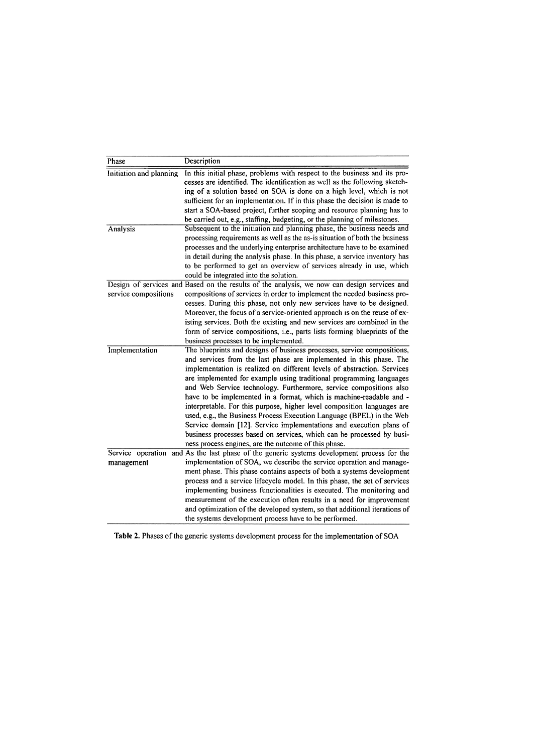| Phase                           | Description                                                                                                                                                                                                                                                                                                                                                                                                                                                                                                                                                                                                                                                                                                                                                                                               |
|---------------------------------|-----------------------------------------------------------------------------------------------------------------------------------------------------------------------------------------------------------------------------------------------------------------------------------------------------------------------------------------------------------------------------------------------------------------------------------------------------------------------------------------------------------------------------------------------------------------------------------------------------------------------------------------------------------------------------------------------------------------------------------------------------------------------------------------------------------|
| Initiation and planning         | In this initial phase, problems with respect to the business and its pro-<br>cesses are identified. The identification as well as the following sketch-<br>ing of a solution based on SOA is done on a high level, which is not<br>sufficient for an implementation. If in this phase the decision is made to<br>start a SOA-based project, further scoping and resource planning has to                                                                                                                                                                                                                                                                                                                                                                                                                  |
| Analysis                        | be carried out, e.g., staffing, budgeting, or the planning of milestones.<br>Subsequent to the initiation and planning phase, the business needs and<br>processing requirements as well as the as-is situation of both the business<br>processes and the underlying enterprise architecture have to be examined<br>in detail during the analysis phase. In this phase, a service inventory has<br>to be performed to get an overview of services already in use, which<br>could be integrated into the solution.                                                                                                                                                                                                                                                                                          |
| service compositions            | Design of services and Based on the results of the analysis, we now can design services and<br>compositions of services in order to implement the needed business pro-<br>cesses. During this phase, not only new services have to be designed.<br>Moreover, the focus of a service-oriented approach is on the reuse of ex-<br>isting services. Both the existing and new services are combined in the<br>form of service compositions, i.e., parts lists forming blueprints of the<br>business processes to be implemented.                                                                                                                                                                                                                                                                             |
| Implementation                  | The blueprints and designs of business processes, service compositions,<br>and services from the last phase are implemented in this phase. The<br>implementation is realized on different levels of abstraction. Services<br>are implemented for example using traditional programming languages<br>and Web Service technology. Furthermore, service compositions also<br>have to be implemented in a format, which is machine-readable and -<br>interpretable. For this purpose, higher level composition languages are<br>used, e.g., the Business Process Execution Language (BPEL) in the Web<br>Service domain [12]. Service implementations and execution plans of<br>business processes based on services, which can be processed by busi-<br>ness process engines, are the outcome of this phase. |
| Service operation<br>management | and As the last phase of the generic systems development process for the<br>implementation of SOA, we describe the service operation and manage-<br>ment phase. This phase contains aspects of both a systems development<br>process and a service lifecycle model. In this phase, the set of services<br>implementing business functionalities is executed. The monitoring and<br>measurement of the execution often results in a need for improvement<br>and optimization of the developed system, so that additional iterations of<br>the systems development process have to be performed.                                                                                                                                                                                                            |

Table 2. Phases of the generic systems development process for the implementation of SOA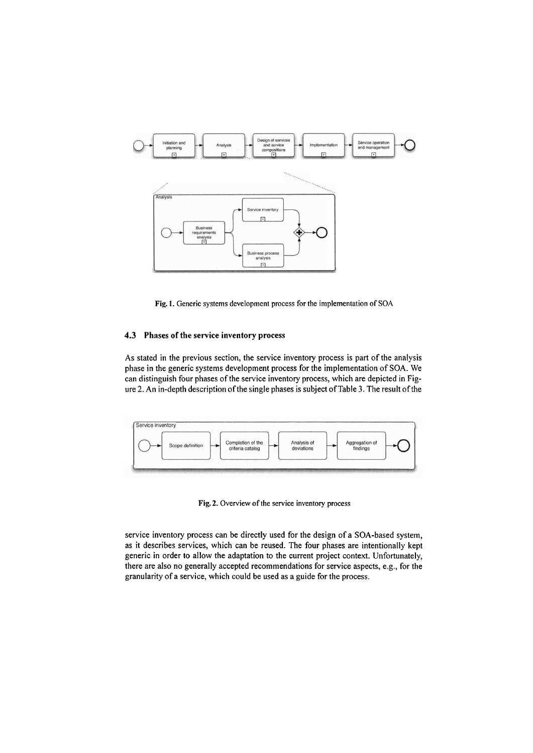

**Fig.** 1. Generic systems development process for the implementation of SOA

## **4.3** Phases of the service inventory process

As stated in the previous section, the service inventory process is part of the analysis phase in the generic systems development process for the implementation of SOA. We can distinguish four phases of the service inventory process, which are depicted in Figure 2. An in-depth description of the single phases is subject of Table **3.** The result of the

| Scope definition | Completion of the<br>criteria catalog | Analysis of<br>deviations | Aggregation of<br>findings |  |
|------------------|---------------------------------------|---------------------------|----------------------------|--|
|                  |                                       |                           |                            |  |

Fig. 2. Overview of the service inventory process

service inventory process can be directly used for the design of a SOA-based system, as it describes services, which can be reused. The four phases are intentionally kept generic in order to allow the adaptation to the current project context. Unfortunately, there are also no generally accepted recommendations for service aspects, e.g., for the granularity of a service, which could be used as a guide for the process.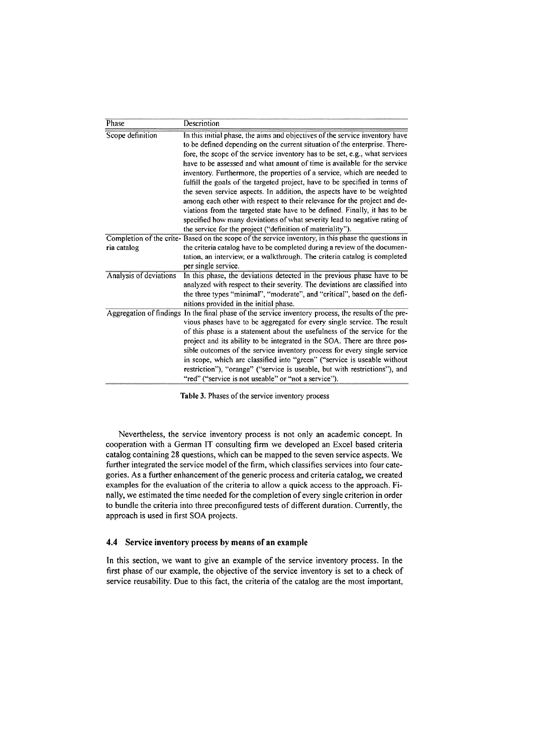| Phase                  | Description                                                                                                                                                                                                                                                                                                                                                                                                                                                                                                                                                                                                                                                                                                                                                                                                                                                      |
|------------------------|------------------------------------------------------------------------------------------------------------------------------------------------------------------------------------------------------------------------------------------------------------------------------------------------------------------------------------------------------------------------------------------------------------------------------------------------------------------------------------------------------------------------------------------------------------------------------------------------------------------------------------------------------------------------------------------------------------------------------------------------------------------------------------------------------------------------------------------------------------------|
| Scope definition       | In this initial phase, the aims and objectives of the service inventory have<br>to be defined depending on the current situation of the enterprise. There-<br>fore, the scope of the service inventory has to be set, e.g., what services<br>have to be assessed and what amount of time is available for the service<br>inventory. Furthermore, the properties of a service, which are needed to<br>fulfill the goals of the targeted project, have to be specified in terms of<br>the seven service aspects. In addition, the aspects have to be weighted<br>among each other with respect to their relevance for the project and de-<br>viations from the targeted state have to be defined. Finally, it has to be<br>specified how many deviations of what severity lead to negative rating of<br>the service for the project ("definition of materiality"). |
|                        | Completion of the crite-Based on the scope of the service inventory, in this phase the questions in                                                                                                                                                                                                                                                                                                                                                                                                                                                                                                                                                                                                                                                                                                                                                              |
| ria catalog            | the criteria catalog have to be completed during a review of the documen-<br>tation, an interview, or a walkthrough. The criteria catalog is completed<br>per single service.                                                                                                                                                                                                                                                                                                                                                                                                                                                                                                                                                                                                                                                                                    |
| Analysis of deviations | In this phase, the deviations detected in the previous phase have to be<br>analyzed with respect to their severity. The deviations are classified into<br>the three types "minimal", "moderate", and "critical", based on the defi-<br>nitions provided in the initial phase.                                                                                                                                                                                                                                                                                                                                                                                                                                                                                                                                                                                    |
|                        | Aggregation of findings In the final phase of the service inventory process, the results of the pre-<br>vious phases have to be aggregated for every single service. The result<br>of this phase is a statement about the usefulness of the service for the<br>project and its ability to be integrated in the SOA. There are three pos-<br>sible outcomes of the service inventory process for every single service<br>in scope, which are classified into "green" ("service is useable without<br>restriction"), "orange" ("service is useable, but with restrictions"), and<br>"red" ("service is not useable" or "not a service").                                                                                                                                                                                                                           |

Table **3.** Phases of the service inventory process

Nevertheless, the service inventory process is not only an academic concept. In cooperation with a German IT consulting firm we developed an Excel based criteria catalog containing 28 questions, which can be mapped to the seven service aspects. We further integrated the service model of the firm, which classifies services into four categories. As a further enhancement of the generic process and criteria catalog, we created examples for the evaluation of the criteria to allow a quick access to the approach. Finally, we estimated the time needed for the completion of every single criterion in order to bundle the criteria into three preconfigured tests of different duration. Currently, the approach is used in first SOA projects.

#### **4.4** Service inventory process **by** means of an example

In this section, we Want to give an example of the service inventory process. In the first phase of our example, the objective of the service inventory is set to a check of service reusability. Due to this fact, the criteria of the catalog are the most important,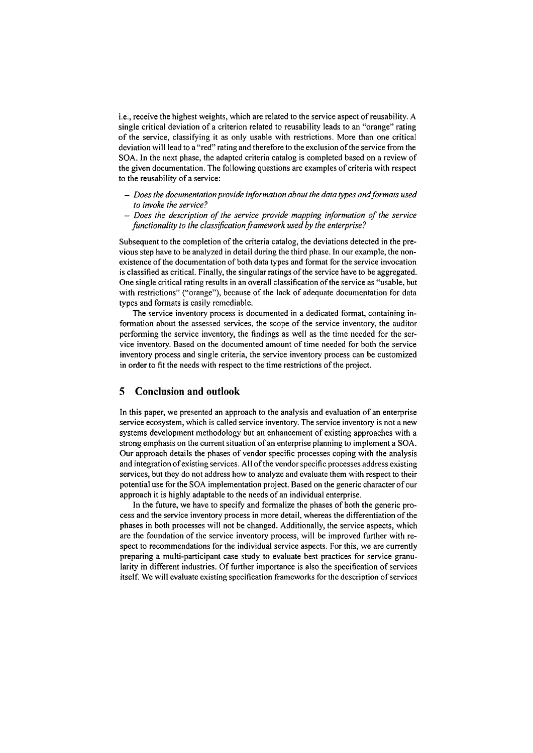i.e., receive the highest weights, which are related to the sewice aspect of reusability. A single critical deviation of a criterion related to reusability leads to an "orange" rating of the sewice, classifying it as only usable with restrictions. More than one critical deviation will lead to a "red" rating and therefore to the exclusion of the sewice from the SOA. In the next phase, the adapted criteria catalog is completed based on a review of the given documentation. The following questions are examples of criteria with respect to the reusability of a sewice:

- *Does the docurnenfafion provide informafion abouf fhe data types und formafs zised fo invoke fhe service?*
- *Does the description of fhe sewice provide mapping informafion of fhe service functionality fo the classijica~ion frarnavovk used by the enterprise?*

Subsequent to the completion of the criteria catalog, the deviations detected in the previous step have to be analyzed in detail during the third phase. In our example, the nonexistence of the documentation of both data types and format for the sewice invocation is classified as critical. Finally, the singular ratings of the service have to be aggregated. One single critical rating results in an overall classification of the sewice as "usable, but with restrictions" ("orange"), because of the lack of adequate documentation for data types and formats is easily remediable.

The service inventory process is documented in a dedicated format, containing information about the assessed sewices, the scope of the service inventory, the auditor performing the sewice inventory, the findings as well as the time needed for the service inventory. Based on the documented amount of time needed for both the sewice inventory process and single criteria, the service inventory process can be customized in order to fit the needs with respect to the time restrictions of the project.

# **5 Conclusion and outlook**

In this paper, we presented an approach to the analysis and evaluation of an enterprise service ecosystem, which is called service inventory. The service inventory is not a new systems development methodology but an enhancement of existing approaches with a strong emphasis on the current Situation of an enterprise planning to implement a SOA. Our approach details the phases of vendor specific processes coping with the analysis and integration of existing sewices. All of the vendor specific processes address existing services, but they do not address how to analyze and evaluate them with respect to their potential use for the SOA implementation project. Based on the generic character of our approach it is highly adaptable to the needs of an individual enterprise.

In the future, we have to specify and formalize the phases of both the generic process and the service inventory process in more detail, whereas the differentiation of the phases in both processes will not be changed. Additionally, the sewice aspects, which are the foundation of the sewice inventory process, will be improved further with respect to recommendations for the individual service aspects. For this, we are currently preparing a multi-participant case study to evaluate best practices for service granularity in different industries. Of further importance is also the specification of sewices itself. We will evaluate existing specification frameworks for the description of sewices